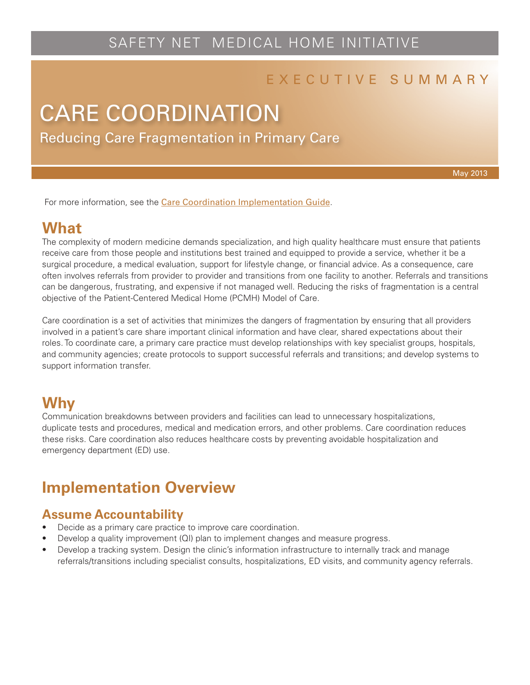# SAFETY NET MEDICAL HOME INITIATIVE

#### E X E C U T I V E S U M M A R Y

# Reducing Care Fragmentation in Primary Care CARE COORDINATION

May 2013

For more information, see the [Care Coordination Implementation Guide](http://www.safetynetmedicalhome.org/sites/default/files/Implementation-Guide-Care-Coordination.pdf).

#### **What**

The complexity of modern medicine demands specialization, and high quality healthcare must ensure that patients receive care from those people and institutions best trained and equipped to provide a service, whether it be a surgical procedure, a medical evaluation, support for lifestyle change, or financial advice. As a consequence, care often involves referrals from provider to provider and transitions from one facility to another. Referrals and transitions can be dangerous, frustrating, and expensive if not managed well. Reducing the risks of fragmentation is a central objective of the Patient-Centered Medical Home (PCMH) Model of Care.

Care coordination is a set of activities that minimizes the dangers of fragmentation by ensuring that all providers involved in a patient's care share important clinical information and have clear, shared expectations about their roles. To coordinate care, a primary care practice must develop relationships with key specialist groups, hospitals, and community agencies; create protocols to support successful referrals and transitions; and develop systems to support information transfer.

#### **Why**

Communication breakdowns between providers and facilities can lead to unnecessary hospitalizations, duplicate tests and procedures, medical and medication errors, and other problems. Care coordination reduces these risks. Care coordination also reduces healthcare costs by preventing avoidable hospitalization and emergency department (ED) use.

## **Implementation Overview**

#### **Assume Accountability**

- Decide as a primary care practice to improve care coordination.
- Develop a quality improvement (QI) plan to implement changes and measure progress.
- Develop a tracking system. Design the clinic's information infrastructure to internally track and manage referrals/transitions including specialist consults, hospitalizations, ED visits, and community agency referrals.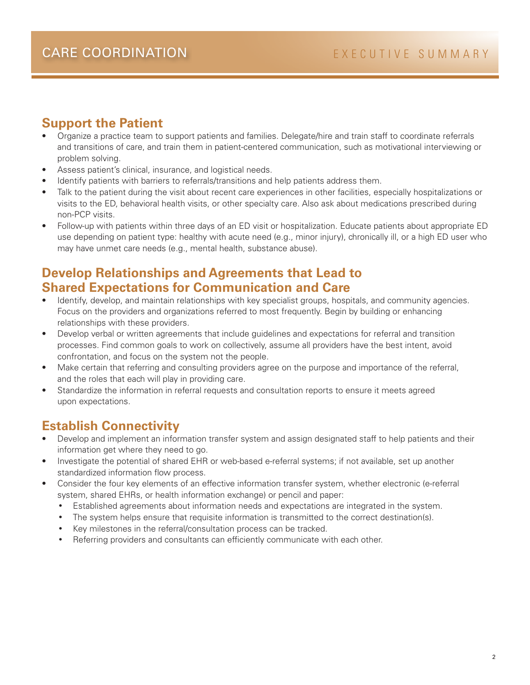#### **Support the Patient**

- Organize a practice team to support patients and families. Delegate/hire and train staff to coordinate referrals and transitions of care, and train them in patient-centered communication, such as motivational interviewing or problem solving.
- Assess patient's clinical, insurance, and logistical needs.
- Identify patients with barriers to referrals/transitions and help patients address them.
- Talk to the patient during the visit about recent care experiences in other facilities, especially hospitalizations or visits to the ED, behavioral health visits, or other specialty care. Also ask about medications prescribed during non-PCP visits.
- Follow-up with patients within three days of an ED visit or hospitalization. Educate patients about appropriate ED use depending on patient type: healthy with acute need (e.g., minor injury), chronically ill, or a high ED user who may have unmet care needs (e.g., mental health, substance abuse).

#### **Develop Relationships and Agreements that Lead to Shared Expectations for Communication and Care**

- Identify, develop, and maintain relationships with key specialist groups, hospitals, and community agencies. Focus on the providers and organizations referred to most frequently. Begin by building or enhancing relationships with these providers.
- Develop verbal or written agreements that include guidelines and expectations for referral and transition processes. Find common goals to work on collectively, assume all providers have the best intent, avoid confrontation, and focus on the system not the people.
- Make certain that referring and consulting providers agree on the purpose and importance of the referral, and the roles that each will play in providing care.
- Standardize the information in referral requests and consultation reports to ensure it meets agreed upon expectations.

#### **Establish Connectivity**

- Develop and implement an information transfer system and assign designated staff to help patients and their information get where they need to go.
- Investigate the potential of shared EHR or web-based e-referral systems; if not available, set up another standardized information flow process.
- Consider the four key elements of an effective information transfer system, whether electronic (e-referral system, shared EHRs, or health information exchange) or pencil and paper:
	- Established agreements about information needs and expectations are integrated in the system.
	- The system helps ensure that requisite information is transmitted to the correct destination(s).
	- Key milestones in the referral/consultation process can be tracked.
	- Referring providers and consultants can efficiently communicate with each other.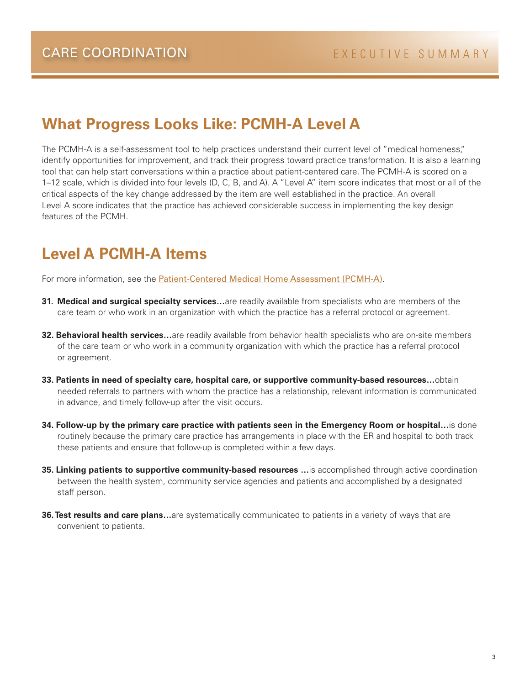## **What Progress Looks Like: PCMH-A Level A**

The PCMH-A is a self-assessment tool to help practices understand their current level of "medical homeness," identify opportunities for improvement, and track their progress toward practice transformation. It is also a learning tool that can help start conversations within a practice about patient-centered care. The PCMH-A is scored on a 1–12 scale, which is divided into four levels (D, C, B, and A). A "Level A" item score indicates that most or all of the critical aspects of the key change addressed by the item are well established in the practice. An overall Level A score indicates that the practice has achieved considerable success in implementing the key design features of the PCMH.

## **Level A PCMH-A Items**

For more information, see the [Patient-Centered Medical Home Assessment \(PCMH-A\)](http://www.safetynetmedicalhome.org/sites/default/files/PCMH-A.pdf).

- **31. Medical and surgical specialty services...**are readily available from specialists who are members of the care team or who work in an organization with which the practice has a referral protocol or agreement.
- **32. Behavioral health services…**are readily available from behavior health specialists who are on-site members of the care team or who work in a community organization with which the practice has a referral protocol or agreement.
- **33. Patients in need of specialty care, hospital care, or supportive community-based resources…**obtain needed referrals to partners with whom the practice has a relationship, relevant information is communicated in advance, and timely follow-up after the visit occurs.
- **34. Follow-up by the primary care practice with patients seen in the Emergency Room or hospital…**is done routinely because the primary care practice has arrangements in place with the ER and hospital to both track these patients and ensure that follow-up is completed within a few days.
- **35. Linking patients to supportive community-based resources ...** is accomplished through active coordination between the health system, community service agencies and patients and accomplished by a designated staff person.
- **36. Test results and care plans...**are systematically communicated to patients in a variety of ways that are convenient to patients.